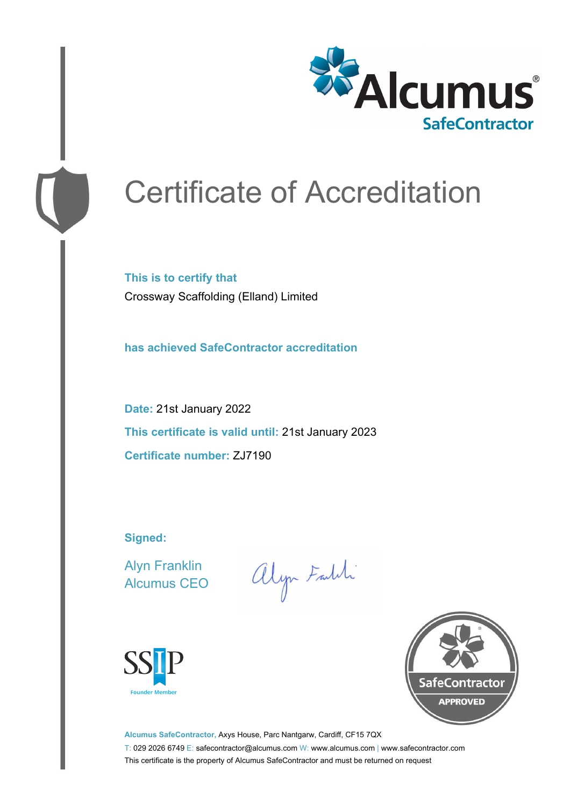

# Certificate of Accreditation

**This is to certify that** Crossway Scaffolding (Elland) Limited

**has achieved SafeContractor accreditation**

**Date:** 21st January 2022 **This certificate is valid until:** 21st January 2023 **Certificate number:** ZJ7190

**Signed:**

Alyn Franklin Alcumus CEO

alyn Faith





**Alcumus SafeContractor,** Axys House, Parc Nantgarw, Cardiff, CF15 7QX T: 029 2026 6749 E: safecontractor@alcumus.com W: www.alcumus.com | www.safecontractor.com This certificate is the property of Alcumus SafeContractor and must be returned on request